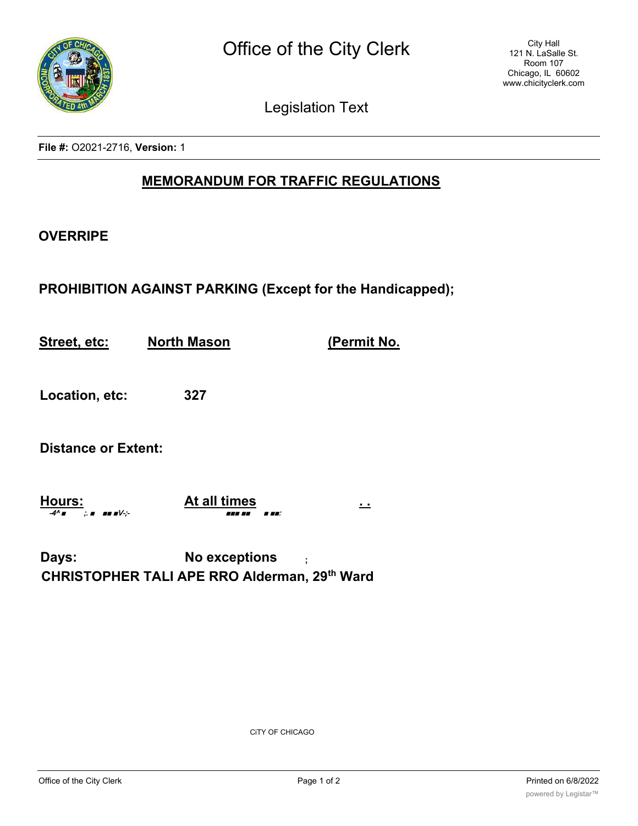

Legislation Text

**File #:** O2021-2716, **Version:** 1

## **MEMORANDUM FOR TRAFFIC REGULATIONS**

## **OVERRIPE**

## **PROHIBITION AGAINST PARKING (Except for the Handicapped);**

**Street, etc: North Mason (Permit No.**

**Location, etc: 327**

**Distance or Extent:**

**Hours: At all times . .** -4^ ■ ;. ■ ■■ ■V-;- ■■■ ■■ ■ ■■:

**Days: No exceptions ; CHRISTOPHER TALI APE RRO Alderman, 29th Ward**

CiTY OF CHICAGO